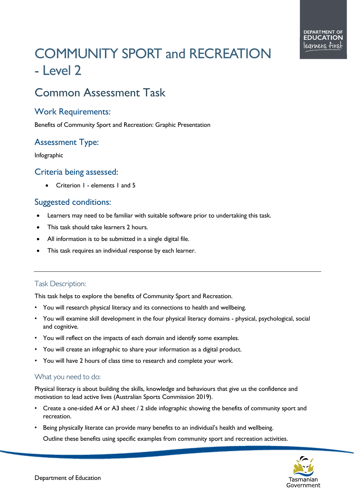# COMMUNITY SPORT and RECREATION - Level 2

# Common Assessment Task

#### Work Requirements:

Benefits of Community Sport and Recreation: Graphic Presentation

## Assessment Type:

Infographic

#### Criteria being assessed:

• Criterion 1 - elements 1 and 5

### Suggested conditions:

- Learners may need to be familiar with suitable software prior to undertaking this task.
- This task should take learners 2 hours.
- All information is to be submitted in a single digital file.
- This task requires an individual response by each learner.

#### Task Description:

This task helps to explore the benefits of Community Sport and Recreation.

- You will research physical literacy and its connections to health and wellbeing.
- You will examine skill development in the four physical literacy domains physical, psychological, social and cognitive.
- You will reflect on the impacts of each domain and identify some examples.
- You will create an infographic to share your information as a digital product.
- You will have 2 hours of class time to research and complete your work.

#### What you need to do:

Physical literacy is about building the skills, knowledge and behaviours that give us the confidence and motivation to lead active lives (Australian Sports Commission 2019).

- Create a one-sided A4 or A3 sheet / 2 slide infographic showing the benefits of community sport and recreation.
- Being physically literate can provide many benefits to an individual's health and wellbeing. Outline these benefits using specific examples from community sport and recreation activities.